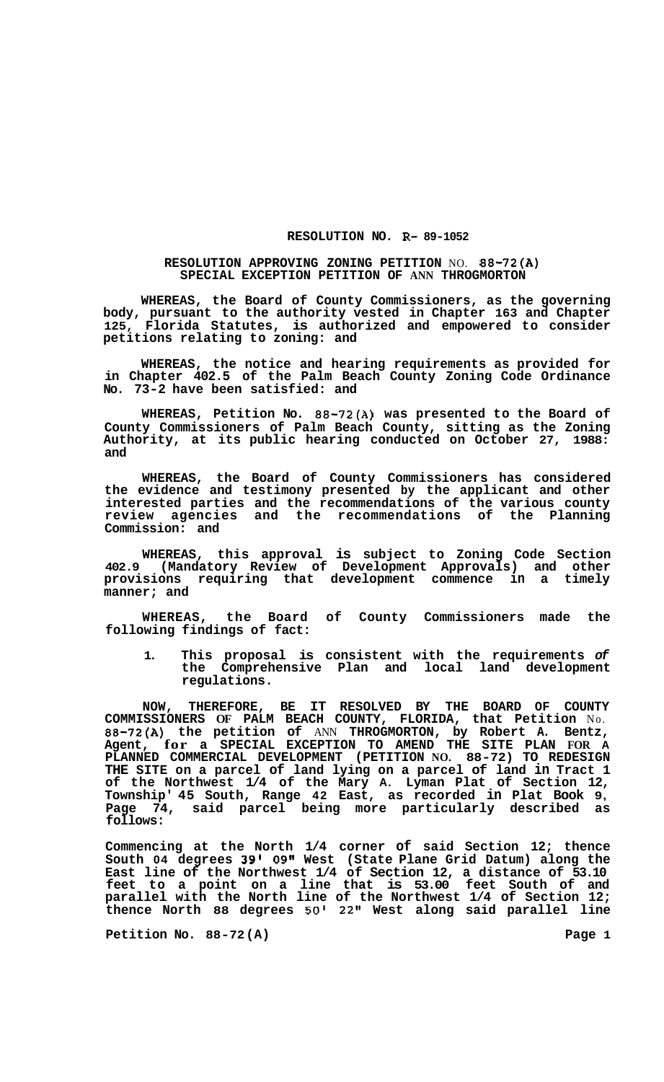## **RESOLUTION NO. R- 89-1052**

## **RESOLUTION APPROVING ZONING PETITION** NO. **88-72(A) SPECIAL EXCEPTION PETITION OF ANN THROGMORTON**

**WHEREAS, the Board of County Commissioners, as the governing body, pursuant to the authority vested in Chapter 163 and Chapter 125, Florida Statutes, is authorized and empowered to consider petitions relating to zoning: and** 

**WHEREAS, the notice and hearing requirements as provided for in Chapter 402.5 of the Palm Beach County Zoning Code Ordinance No. 73-2 have been satisfied: and** 

**WHEREAS, Petition No. 88-72(A) was presented to the Board of County Commissioners of Palm Beach County, sitting as the Zoning Authority, at its public hearing conducted on October 27, 1988: and** 

**WHEREAS, the Board of County Commissioners has considered the evidence and testimony presented by the applicant and other interested parties and the recommendations of the various county review agencies and the recommendations of the Planning Commission: and** 

**WHEREAS, this approval is subject to Zoning Code Section 402.9 (Mandatory Review of Development Approvals) and other provisions requiring that development commence in a timely manner; and** 

**WHEREAS, the Board of County Commissioners made the following findings of fact:** 

**1. This proposal is consistent with the requirements** *of*  **the Comprehensive Plan and local land development regulations.** 

**NOW, THEREFORE, BE IT RESOLVED BY THE BOARD OF COUNTY COMMISSIONERS OF PALM BEACH COUNTY, FLORIDA, that Petition** No. **88-72(A) the petition of** ANN **THROGMORTON, by Robert A. Bentz, Agent, for a SPECIAL EXCEPTION TO AMEND THE SITE PLAN FOR <sup>A</sup> PLANNED COMMERCIAL DEVELOPMENT (PETITION NO. 88-72) TO REDESIGN THE SITE on a parcel of land lying on a parcel of land in Tract 1 of the Northwest 1/4 of the Mary A. Lyman Plat of Section 12, Township' 45 South, Range 42 East, as recorded in Plat Book 9, Page 74, said parcel being more particularly described as follows:** 

**Commencing at the North 1/4 corner of said Section 12; thence South 04 degrees 39l 09" West (State Plane Grid Datum) along the East line of the Northwest 1/4 of Section 12, a distance of 53.10 feet to a point on a line that is 53.00 feet South of and parallel with the North line of the Northwest 1/4 of Section 12; thence North 88 degrees 50' 22" West along said parallel line** 

**Petition No. 88-72(A)** Page 1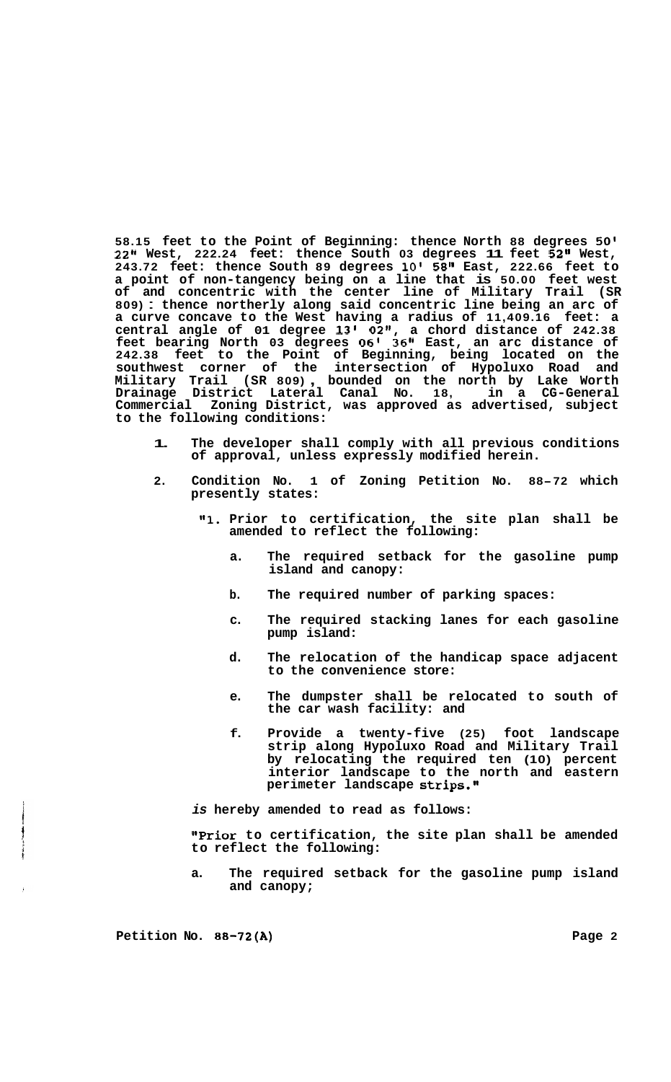**58.15 feet to the Point of Beginning: thence North 88 degrees 50l 22" West, 222.24 feet: thence South 03 degrees 11 feet 52" West, 243.72 feet: thence South 89 degrees 10' 58" East, 222.66 feet to a point of non-tangency being on a line that is 50.00 feet west of and concentric with the center line of Military Trail (SR 809)** : **thence northerly along said concentric line being an arc of a curve concave to the West having a radius of 11,409.16 feet: a central angle of 01 degree 13'** *02",* **a chord distance of 242.38 feet bearing North 03 degrees 06' 36" East, an arc distance of 242.38 feet to the Point of Beginning, being located on the southwest corner of the intersection of Hypoluxo Road and Military Trail (SR 809)** , **bounded on the north by Lake Worth Drainage District Lateral Canal No. 18, in a CG-General Commercial Zoning District, was approved as advertised, subject to the following conditions:** 

- **1. The developer shall comply with all previous conditions of approval, unless expressly modified herein.**
- **2. Condition No. 1 of Zoning Petition No. 88-72 which presently states:** 
	- **I1l. Prior to certification, the site plan shall be amended to reflect the following:** 
		- **a. The required setback for the gasoline pump island and canopy:**
		- **b. The required number of parking spaces:**
		- **c. The required stacking lanes for each gasoline pump island:**
		- **d. The relocation of the handicap space adjacent to the convenience store:**
		- **e. The dumpster shall be relocated to south of the car wash facility: and**
		- **f. Provide a twenty-five (25) foot landscape strip along Hypoluxo Road and Military Trail by relocating the required ten (10) percent interior landscape to the north and eastern perimeter landscape strips.'@**
	- *is* **hereby amended to read as follows:**

**"Prior to certification, the site plan shall be amended to reflect the following:** 

**a. The required setback for the gasoline pump island and canopy;** 

**Petition No. 88-72(A) Page 2**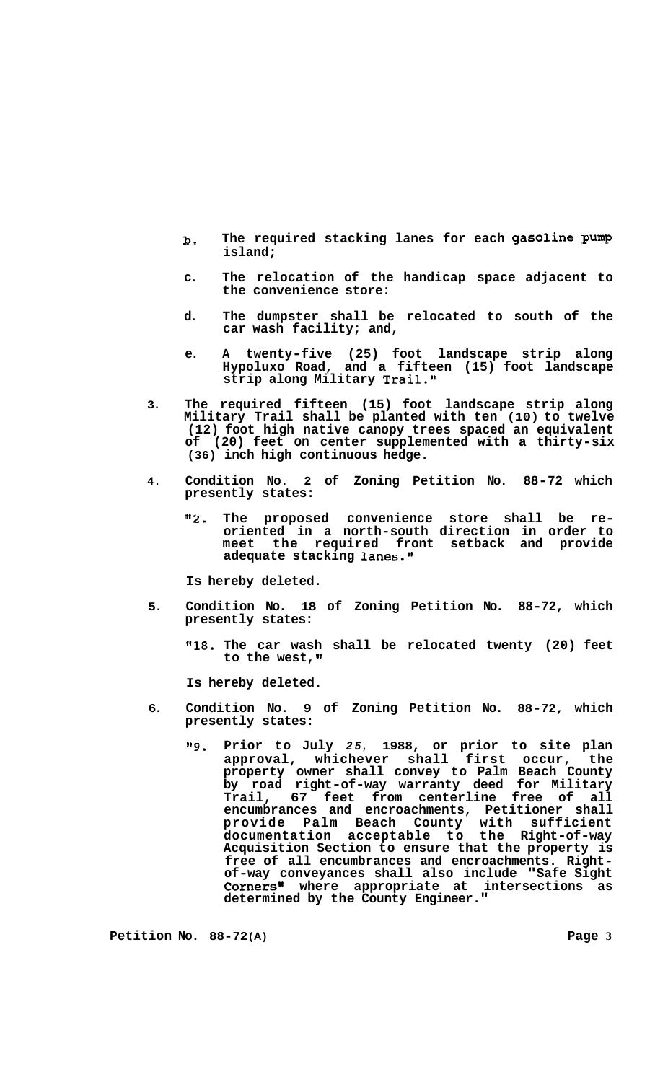- **b. The required stacking lanes for each gasoline Pump island;**
- **c. The relocation of the handicap space adjacent to the convenience store:**
- **d. The dumpster shall be relocated to south of the car wash facility; and,**
- **e. A twenty-five (25) foot landscape strip along Hypoluxo Road, and a fifteen (15) foot landscape strip along Military Trail."**
- **3. The required fifteen (15) foot landscape strip along Military Trail shall be planted with ten (10) to twelve (12) foot high native canopy trees spaced an equivalent of (20) feet on center supplemented with a thirty-six (36) inch high continuous hedge.**
- **4. Condition No. 2 of Zoning Petition No. 88-72 which presently states:** 
	- **"2. The proposed convenience store shall be re- oriented in a north-south direction in order to meet the required front setback and provide**  adequate stacking lanes."

**Is hereby deleted.** 

- **5. Condition No. 18 of Zoning Petition No. 88-72, which presently states:** 
	- **"18. The car wash shall be relocated twenty (20) feet to the west,**

**Is hereby deleted.** 

- **6. Condition No. 9 of Zoning Petition No. 88-72, which presently states:** 
	- **"9. Prior to July** *25,* **1988, or prior to site plan approval, whichever shall first occur, the property owner shall convey to Palm Beach County by road right-of-way warranty deed for Military Trail, 67 feet from centerline free of all encumbrances and encroachments, Petitioner shall provide Palm Beach County with sufficient documentation acceptable to the Right-of-way Acquisition Section to ensure that the property is free of all encumbrances and encroachments. Right- of-way conveyances shall also include "Safe Sight Corners11 where appropriate at intersections as determined by the County Engineer."**

**Petition No. 88-72 (A) Page 3**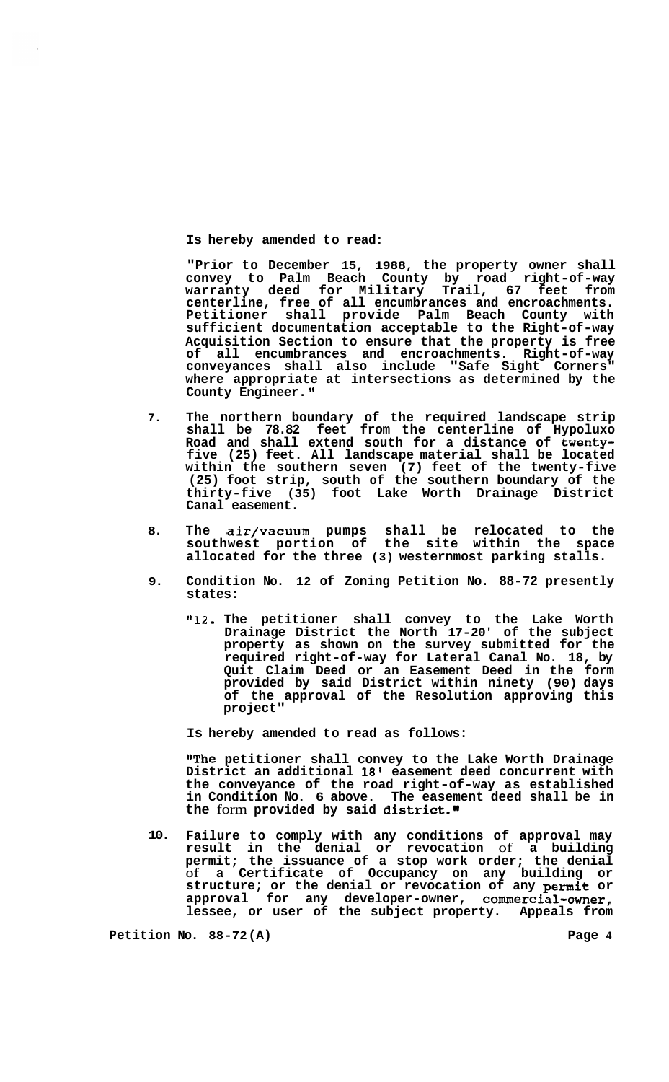**Is hereby amended to read:** 

**"Prior to December 15, 1988, the property owner shall convey to Palm Beach County by road right-of-way warranty deed for Military Trail, 67 feet from centerline, free of all encumbrances and encroachments. Petitioner shall provide Palm Beach County with sufficient documentation acceptable to the Right-of-way Acquisition Section to ensure that the property is free of all encumbrances and encroachments. Right-of-way conveyances shall also include "Safe Sight Corners" where appropriate at intersections as determined by the County Engineer. I'** 

- **7. The northern boundary of the required landscape strip shall be 78.82 feet from the centerline of Hypoluxo Road and shall extend south for a distance of twentyfive (25) feet. All landscape material shall be located within the southern seven (7) feet of the twenty-five (25) foot strip, south of the southern boundary of the thirty-five (35) foot Lake Worth Drainage District Canal easement.**
- **8. The air/vacuum pumps shall be relocated to the southwest portion of the site within the space allocated for the three (3) westernmost parking stalls.**
- **9. Condition No. 12 of Zoning Petition No. 88-72 presently states:** 
	- **"12. The petitioner shall convey to the Lake Worth Drainage District the North 17-20' of the subject property as shown on the survey submitted for the required right-of-way for Lateral Canal No. 18, by Quit Claim Deed or an Easement Deed in the form provided by said District within ninety (90) days of the approval of the Resolution approving this project"**

**Is hereby amended to read as follows:** 

**"The petitioner shall convey to the Lake Worth Drainage District an additional 18' easement deed concurrent with the conveyance of the road right-of-way as established in Condition No. 6 above. The easement deed shall be in the** form **provided by said district."** 

**10. Failure to comply with any conditions of approval may result in the denial or revocation** of **a building permit; the issuance of a stop work order; the denial**  of **a Certificate of Occupancy on any building or structure; or the denial or revocation of any permit or approval for any developer-owner, commercial-owner, lessee, or user of the subject property. Appeals from** 

**Petition No. 88-72 (A) Page 4**